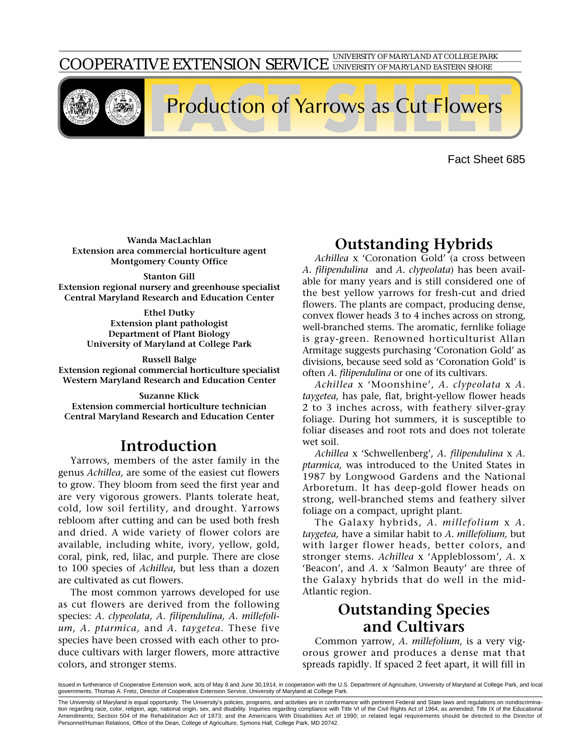COOPERATIVE EXTENSION SERVICE UNIVERSITY OF MARYLAND AT COLLEGE PARK



# Production of Yarrows as Cut Flowers

Fact Sheet 685

**Wanda MacLachlan Extension area commercial horticulture agent Montgomery County Office**

**Stanton Gill Extension regional nursery and greenhouse specialist Central Maryland Research and Education Center**

> **Ethel Dutky Extension plant pathologist Department of Plant Biology University of Maryland at College Park**

**Russell Balge Extension regional commercial horticulture specialist Western Maryland Research and Education Center**

**Suzanne Klick Extension commercial horticulture technician Central Maryland Research and Education Center**

## **Introduction**

Yarrows, members of the aster family in the genus *Achillea,* are some of the easiest cut flowers to grow. They bloom from seed the first year and are very vigorous growers. Plants tolerate heat, cold, low soil fertility, and drought. Yarrows rebloom after cutting and can be used both fresh and dried. A wide variety of flower colors are available, including white, ivory, yellow, gold, coral, pink, red, lilac, and purple. There are close to 100 species of *Achillea,* but less than a dozen are cultivated as cut flowers.

The most common yarrows developed for use as cut flowers are derived from the following species: *A. clypeolata, A. filipendulina, A. millefolium, A. ptarmica,* and *A. taygetea.* These five species have been crossed with each other to produce cultivars with larger flowers, more attractive colors, and stronger stems.

# **Outstanding Hybrids**

*Achillea* x 'Coronation Gold' (a cross between *A. filipendulina* and *A. clypeolata*) has been available for many years and is still considered one of the best yellow yarrows for fresh-cut and dried flowers. The plants are compact, producing dense, convex flower heads 3 to 4 inches across on strong, well-branched stems. The aromatic, fernlike foliage is gray-green. Renowned horticulturist Allan Armitage suggests purchasing 'Coronation Gold' as divisions, because seed sold as 'Coronation Gold' is often *A. filipendulina* or one of its cultivars.

*Achillea* x 'Moonshine', *A. clypeolata* x *A. taygetea,* has pale, flat, bright-yellow flower heads 2 to 3 inches across, with feathery silver-gray foliage. During hot summers, it is susceptible to foliar diseases and root rots and does not tolerate wet soil.

*Achillea* x 'Schwellenberg', *A. filipendulina* x *A. ptarmica,* was introduced to the United States in 1987 by Longwood Gardens and the National Arboretum. It has deep-gold flower heads on strong, well-branched stems and feathery silver foliage on a compact, upright plant.

The Galaxy hybrids, *A. millefolium* x *A. taygetea,* have a similar habit to *A. millefolium,* but with larger flower heads, better colors, and stronger stems. *Achillea* x 'Appleblossom', *A.* x 'Beacon', and *A.* x 'Salmon Beauty' are three of the Galaxy hybrids that do well in the mid-Atlantic region.

# **Outstanding Species and Cultivars**

Common yarrow, *A. millefolium,* is a very vigorous grower and produces a dense mat that spreads rapidly. If spaced 2 feet apart, it will fill in

Issued in furtherance of Cooperative Extension work, acts of May 8 and June 30,1914, in cooperation with the U.S. Department of Agriculture, University of Maryland at College Park, and local governments. Thomas A. Fretz, Director of Cooperative Extension Service, University of Maryland at College Park.

The University of Maryland is equal opportunity. The University's policies, programs, and activities are in conformance with pertinent Federal and State laws and regulations on nondiscrimination regarding race, color, religion, age, national origin, sex, and disability. Inquiries regarding compliance with Title VI of the Civil Rights Act of 1964, as amended; Title IX of the Educational Amendments; Section 504 of the Rehabilitation Act of 1973; and the Americans With Disabilities Act of 1990; or related legal requirements should be directed to the Director of Personnel/Human Relations, Office of the Dean, College of Agriculture, Symons Hall, College Park, MD 20742.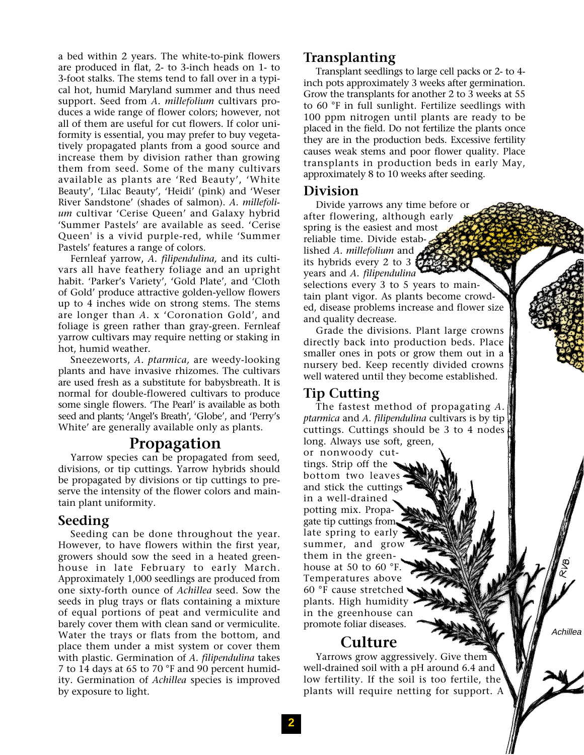a bed within 2 years. The white-to-pink flowers are produced in flat, 2- to 3-inch heads on 1- to 3-foot stalks. The stems tend to fall over in a typical hot, humid Maryland summer and thus need support. Seed from *A. millefolium* cultivars produces a wide range of flower colors; however, not all of them are useful for cut flowers. If color uniformity is essential, you may prefer to buy vegetatively propagated plants from a good source and increase them by division rather than growing them from seed. Some of the many cultivars available as plants are 'Red Beauty', 'White Beauty', 'Lilac Beauty', 'Heidi' (pink) and 'Weser River Sandstone' (shades of salmon). *A. millefolium* cultivar 'Cerise Queen' and Galaxy hybrid 'Summer Pastels' are available as seed. 'Cerise Queen' is a vivid purple-red, while 'Summer Pastels' features a range of colors.

Fernleaf yarrow, *A. filipendulina,* and its cultivars all have feathery foliage and an upright habit. 'Parker's Variety', 'Gold Plate', and 'Cloth of Gold' produce attractive golden-yellow flowers up to 4 inches wide on strong stems. The stems are longer than *A.* x 'Coronation Gold', and foliage is green rather than gray-green. Fernleaf yarrow cultivars may require netting or staking in hot, humid weather.

Sneezeworts, *A. ptarmica,* are weedy-looking plants and have invasive rhizomes. The cultivars are used fresh as a substitute for babysbreath. It is normal for double-flowered cultivars to produce some single flowers. 'The Pearl' is available as both seed and plants; 'Angel's Breath', 'Globe', and 'Perry's White' are generally available only as plants.

#### **Propagation**

Yarrow species can be propagated from seed, divisions, or tip cuttings. Yarrow hybrids should be propagated by divisions or tip cuttings to preserve the intensity of the flower colors and maintain plant uniformity.

#### **Seeding**

Seeding can be done throughout the year. However, to have flowers within the first year, growers should sow the seed in a heated greenhouse in late February to early March. Approximately 1,000 seedlings are produced from one sixty-forth ounce of *Achillea* seed. Sow the seeds in plug trays or flats containing a mixture of equal portions of peat and vermiculite and barely cover them with clean sand or vermiculite. Water the trays or flats from the bottom, and place them under a mist system or cover them with plastic. Germination of *A. filipendulina* takes 7 to 14 days at 65 to 70 °F and 90 percent humidity. Germination of *Achillea* species is improved by exposure to light.

### **Transplanting**

Transplant seedlings to large cell packs or 2- to 4 inch pots approximately 3 weeks after germination. Grow the transplants for another 2 to 3 weeks at 55 to 60 °F in full sunlight. Fertilize seedlings with 100 ppm nitrogen until plants are ready to be placed in the field. Do not fertilize the plants once they are in the production beds. Excessive fertility causes weak stems and poor flower quality. Place transplants in production beds in early May, approximately 8 to 10 weeks after seeding.

#### **Division**

Divide yarrows any time before or after flowering, although early spring is the easiest and most reliable time. Divide established *A. millefolium* and its hybrids every 2 to 3 years and *A. filipendulina* selections every 3 to 5 years to maintain plant vigor. As plants become crowded, disease problems increase and flower size and quality decrease.

Grade the divisions. Plant large crowns directly back into production beds. Place smaller ones in pots or grow them out in a nursery bed. Keep recently divided crowns well watered until they become established.

### **Tip Cutting**

The fastest method of propagating *A. ptarmica* and *A. filipendulina* cultivars is by tip cuttings. Cuttings should be 3 to 4 nodes long. Always use soft, green,

or nonwoody cuttings. Strip off the bottom two leaves and stick the cuttings in a well-drained potting mix. Propagate tip cuttings from late spring to early summer, and grow them in the greenhouse at 50 to 60 °F. Temperatures above 60 °F cause stretched plants. High humidity in the greenhouse can promote foliar diseases.

## **Culture**

Yarrows grow aggressively. Give them well-drained soil with a pH around 6.4 and low fertility. If the soil is too fertile, the plants will require netting for support. A **Achillea**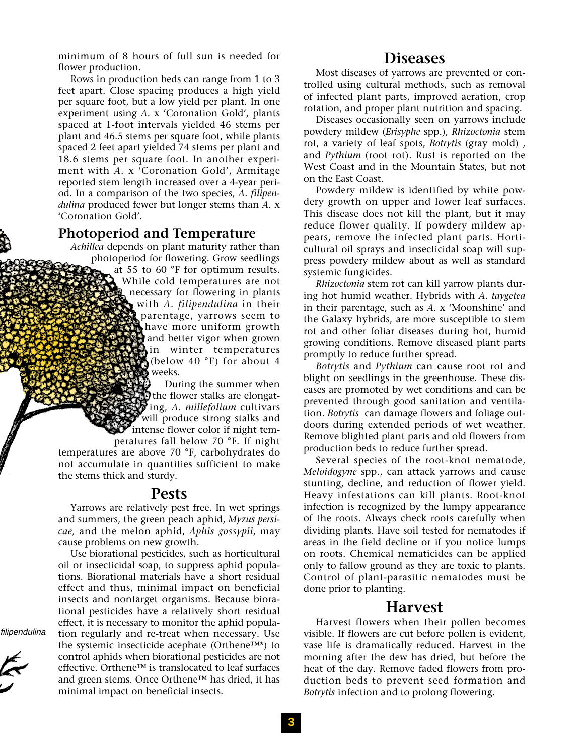minimum of 8 hours of full sun is needed for flower production.

Rows in production beds can range from 1 to 3 feet apart. Close spacing produces a high yield per square foot, but a low yield per plant. In one experiment using *A.* x 'Coronation Gold', plants spaced at 1-foot intervals yielded 46 stems per plant and 46.5 stems per square foot, while plants spaced 2 feet apart yielded 74 stems per plant and 18.6 stems per square foot. In another experiment with *A.* x 'Coronation Gold', Armitage reported stem length increased over a 4-year period. In a comparison of the two species, *A. filipendulina* produced fewer but longer stems than *A.* x 'Coronation Gold'.

#### **Photoperiod and Temperature**

*Achillea* depends on plant maturity rather than photoperiod for flowering. Grow seedlings at 55 to 60 °F for optimum results. While cold temperatures are not necessary for flowering in plants with *A. filipendulina* in their parentage, yarrows seem to have more uniform growth and better vigor when grown in winter temperatures (below 40 °F) for about 4 weeks.

> During the summer when The flower stalks are elongating, *A. millefolium* cultivars will produce strong stalks and intense flower color if night tem-

peratures fall below 70 °F. If night temperatures are above 70 °F, carbohydrates do not accumulate in quantities sufficient to make the stems thick and sturdy.

#### **Pests**

Yarrows are relatively pest free. In wet springs and summers, the green peach aphid, *Myzus persicae,* and the melon aphid, *Aphis gossypii*, may cause problems on new growth.

Use biorational pesticides, such as horticultural oil or insecticidal soap, to suppress aphid populations. Biorational materials have a short residual effect and thus, minimal impact on beneficial insects and nontarget organisms. Because biorational pesticides have a relatively short residual effect, it is necessary to monitor the aphid population regularly and re-treat when necessary. Use the systemic insecticide acephate (Orthene™\*) to control aphids when biorational pesticides are not effective. Orthene™ is translocated to leaf surfaces and green stems. Once Orthene™ has dried, it has minimal impact on beneficial insects.

### **Diseases**

Most diseases of yarrows are prevented or controlled using cultural methods, such as removal of infected plant parts, improved aeration, crop rotation, and proper plant nutrition and spacing.

Diseases occasionally seen on yarrows include powdery mildew (*Erisyphe* spp.), *Rhizoctonia* stem rot, a variety of leaf spots, *Botrytis* (gray mold) , and *Pythium* (root rot). Rust is reported on the West Coast and in the Mountain States, but not on the East Coast.

Powdery mildew is identified by white powdery growth on upper and lower leaf surfaces. This disease does not kill the plant, but it may reduce flower quality. If powdery mildew appears, remove the infected plant parts. Horticultural oil sprays and insecticidal soap will suppress powdery mildew about as well as standard systemic fungicides.

*Rhizoctonia* stem rot can kill yarrow plants during hot humid weather. Hybrids with *A. taygetea* in their parentage, such as *A.* x 'Moonshine' and the Galaxy hybrids, are more susceptible to stem rot and other foliar diseases during hot, humid growing conditions. Remove diseased plant parts promptly to reduce further spread.

*Botrytis* and *Pythium* can cause root rot and blight on seedlings in the greenhouse. These diseases are promoted by wet conditions and can be prevented through good sanitation and ventilation. *Botrytis* can damage flowers and foliage outdoors during extended periods of wet weather. Remove blighted plant parts and old flowers from production beds to reduce further spread.

Several species of the root-knot nematode, *Meloidogyne* spp., can attack yarrows and cause stunting, decline, and reduction of flower yield. Heavy infestations can kill plants. Root-knot infection is recognized by the lumpy appearance of the roots. Always check roots carefully when dividing plants. Have soil tested for nematodes if areas in the field decline or if you notice lumps on roots. Chemical nematicides can be applied only to fallow ground as they are toxic to plants. Control of plant-parasitic nematodes must be done prior to planting.

#### **Harvest**

Harvest flowers when their pollen becomes visible. If flowers are cut before pollen is evident, vase life is dramatically reduced. Harvest in the morning after the dew has dried, but before the heat of the day. Remove faded flowers from production beds to prevent seed formation and *Botrytis* infection and to prolong flowering.

filipendulina